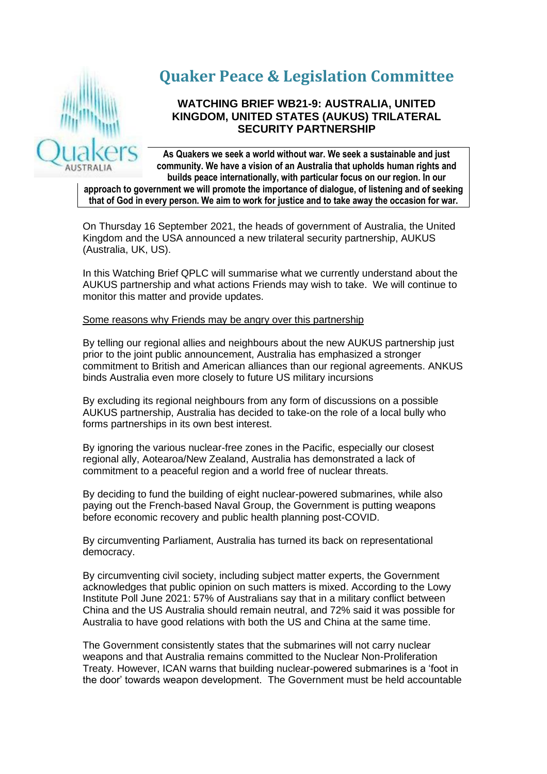

# **Quaker Peace & Legislation Committee**

## **WATCHING BRIEF WB21-9: AUSTRALIA, UNITED KINGDOM, UNITED STATES (AUKUS) TRILATERAL SECURITY PARTNERSHIP**

**As Quakers we seek a world without war. We seek a sustainable and just community. We have a vision of an Australia that upholds human rights and builds peace internationally, with particular focus on our region. In our approach to government we will promote the importance of dialogue, of listening and of seeking that of God in every person. We aim to work for justice and to take away the occasion for war.**

On Thursday 16 September 2021, the heads of government of Australia, the United Kingdom and the USA announced a new trilateral security partnership, AUKUS (Australia, UK, US).

In this Watching Brief QPLC will summarise what we currently understand about the AUKUS partnership and what actions Friends may wish to take. We will continue to monitor this matter and provide updates.

#### Some reasons why Friends may be angry over this partnership

By telling our regional allies and neighbours about the new AUKUS partnership just prior to the joint public announcement, Australia has emphasized a stronger commitment to British and American alliances than our regional agreements. ANKUS binds Australia even more closely to future US military incursions

By excluding its regional neighbours from any form of discussions on a possible AUKUS partnership, Australia has decided to take-on the role of a local bully who forms partnerships in its own best interest.

By ignoring the various nuclear-free zones in the Pacific, especially our closest regional ally, Aotearoa/New Zealand, Australia has demonstrated a lack of commitment to a peaceful region and a world free of nuclear threats.

By deciding to fund the building of eight nuclear-powered submarines, while also paying out the French-based Naval Group, the Government is putting weapons before economic recovery and public health planning post-COVID.

By circumventing Parliament, Australia has turned its back on representational democracy.

By circumventing civil society, including subject matter experts, the Government acknowledges that public opinion on such matters is mixed. According to the Lowy Institute Poll June 2021: 57% of Australians say that in a military conflict between China and the US Australia should remain neutral, and 72% said it was possible for Australia to have good relations with both the US and China at the same time.

The Government consistently states that the submarines will not carry nuclear weapons and that Australia remains committed to the Nuclear Non-Proliferation Treaty. However, ICAN warns that building nuclear-powered submarines is a 'foot in the door' towards weapon development. The Government must be held accountable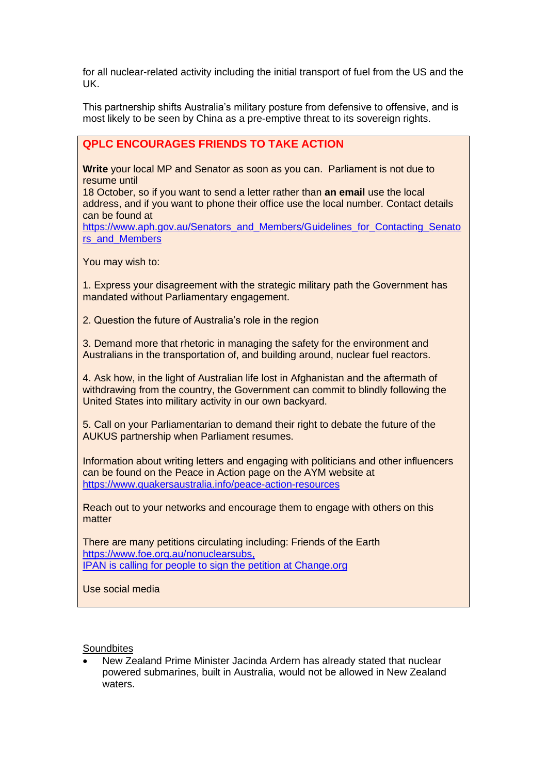for all nuclear-related activity including the initial transport of fuel from the US and the UK.

This partnership shifts Australia's military posture from defensive to offensive, and is most likely to be seen by China as a pre-emptive threat to its sovereign rights.

## **QPLC ENCOURAGES FRIENDS TO TAKE ACTION**

**Write** your local MP and Senator as soon as you can. Parliament is not due to resume until

18 October, so if you want to send a letter rather than **an email** use the local address, and if you want to phone their office use the local number. Contact details can be found at

[https://www.aph.gov.au/Senators\\_and\\_Members/Guidelines\\_for\\_Contacting\\_Senato](https://www.aph.gov.au/Senators_and_Members/Guidelines_for_Contacting_Senators_and_Members) [rs\\_and\\_Members](https://www.aph.gov.au/Senators_and_Members/Guidelines_for_Contacting_Senators_and_Members) 

You may wish to:

1. Express your disagreement with the strategic military path the Government has mandated without Parliamentary engagement.

2. Question the future of Australia's role in the region

3. Demand more that rhetoric in managing the safety for the environment and Australians in the transportation of, and building around, nuclear fuel reactors.

4. Ask how, in the light of Australian life lost in Afghanistan and the aftermath of withdrawing from the country, the Government can commit to blindly following the United States into military activity in our own backyard.

5. Call on your Parliamentarian to demand their right to debate the future of the AUKUS partnership when Parliament resumes.

Information about writing letters and engaging with politicians and other influencers can be found on the Peace in Action page on the AYM website at <https://www.quakersaustralia.info/peace-action-resources>

Reach out to your networks and encourage them to engage with others on this matter

There are many petitions circulating including: Friends of the Earth [https://www.foe.org.au/nonuclearsubs,](https://www.foe.org.au/nonuclearsubs) IPAN is calling for people to sign the petition at Change.org

Use social media

**Soundbites** 

• New Zealand Prime Minister Jacinda Ardern has already stated that nuclear powered submarines, built in Australia, would not be allowed in New Zealand waters.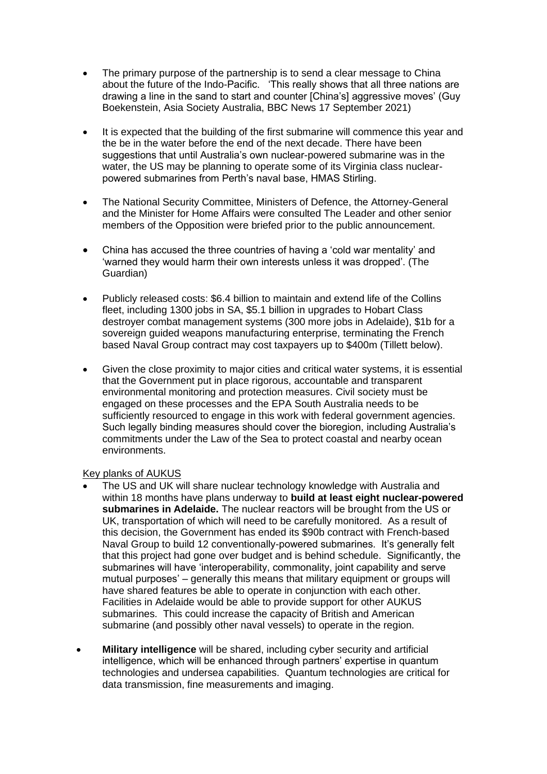- The primary purpose of the partnership is to send a clear message to China about the future of the Indo-Pacific. 'This really shows that all three nations are drawing a line in the sand to start and counter [China's] aggressive moves' (Guy Boekenstein, Asia Society Australia, BBC News 17 September 2021)
- It is expected that the building of the first submarine will commence this year and the be in the water before the end of the next decade. There have been suggestions that until Australia's own nuclear-powered submarine was in the water, the US may be planning to operate some of its Virginia class nuclearpowered submarines from Perth's naval base, HMAS Stirling.
- The National Security Committee, Ministers of Defence, the Attorney-General and the Minister for Home Affairs were consulted The Leader and other senior members of the Opposition were briefed prior to the public announcement.
- China has accused the three countries of having a 'cold war mentality' and 'warned they would harm their own interests unless it was dropped'. (The Guardian)
- Publicly released costs: \$6.4 billion to maintain and extend life of the Collins fleet, including 1300 jobs in SA, \$5.1 billion in upgrades to Hobart Class destroyer combat management systems (300 more jobs in Adelaide), \$1b for a sovereign guided weapons manufacturing enterprise, terminating the French based Naval Group contract may cost taxpayers up to \$400m (Tillett below).
- Given the close proximity to major cities and critical water systems, it is essential that the Government put in place rigorous, accountable and transparent environmental monitoring and protection measures. Civil society must be engaged on these processes and the EPA South Australia needs to be sufficiently resourced to engage in this work with federal government agencies. Such legally binding measures should cover the bioregion, including Australia's commitments under the Law of the Sea to protect coastal and nearby ocean environments.

Key planks of AUKUS

- The US and UK will share nuclear technology knowledge with Australia and within 18 months have plans underway to **build at least eight nuclear-powered submarines in Adelaide.** The nuclear reactors will be brought from the US or UK, transportation of which will need to be carefully monitored. As a result of this decision, the Government has ended its \$90b contract with French-based Naval Group to build 12 conventionally-powered submarines. It's generally felt that this project had gone over budget and is behind schedule. Significantly, the submarines will have 'interoperability, commonality, joint capability and serve mutual purposes' – generally this means that military equipment or groups will have shared features be able to operate in conjunction with each other. Facilities in Adelaide would be able to provide support for other AUKUS submarines. This could increase the capacity of British and American submarine (and possibly other naval vessels) to operate in the region.
- **Military intelligence** will be shared, including cyber security and artificial intelligence, which will be enhanced through partners' expertise in quantum technologies and undersea capabilities. Quantum technologies are critical for data transmission, fine measurements and imaging.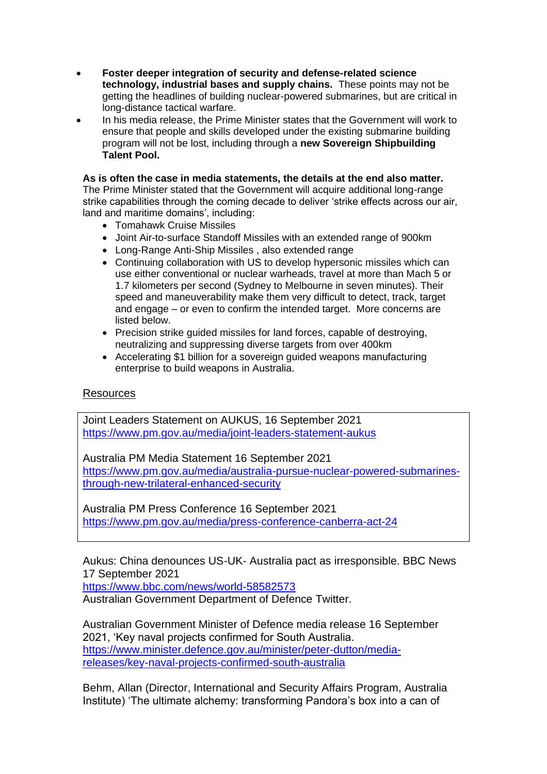- **Foster deeper integration of security and defense-related science technology, industrial bases and supply chains.** These points may not be getting the headlines of building nuclear-powered submarines, but are critical in long-distance tactical warfare.
- In his media release, the Prime Minister states that the Government will work to ensure that people and skills developed under the existing submarine building program will not be lost, including through a **new Sovereign Shipbuilding Talent Pool.**

#### **As is often the case in media statements, the details at the end also matter.**

The Prime Minister stated that the Government will acquire additional long-range strike capabilities through the coming decade to deliver 'strike effects across our air, land and maritime domains', including:

- Tomahawk Cruise Missiles
- Joint Air-to-surface Standoff Missiles with an extended range of 900km
- Long-Range Anti-Ship Missiles , also extended range
- Continuing collaboration with US to develop hypersonic missiles which can use either conventional or nuclear warheads, travel at more than Mach 5 or 1.7 kilometers per second (Sydney to Melbourne in seven minutes). Their speed and maneuverability make them very difficult to detect, track, target and engage – or even to confirm the intended target. More concerns are listed below.
- Precision strike guided missiles for land forces, capable of destroying, neutralizing and suppressing diverse targets from over 400km
- Accelerating \$1 billion for a sovereign guided weapons manufacturing enterprise to build weapons in Australia.

### Resources

Joint Leaders Statement on AUKUS, 16 September 2021 <https://www.pm.gov.au/media/joint-leaders-statement-aukus>

Australia PM Media Statement 16 September 2021 [https://www.pm.gov.au/media/australia-pursue-nuclear-powered-submarines](https://www.pm.gov.au/media/australia-pursue-nuclear-powered-submarines-through-new-trilateral-enhanced-security)[through-new-trilateral-enhanced-security](https://www.pm.gov.au/media/australia-pursue-nuclear-powered-submarines-through-new-trilateral-enhanced-security)

Australia PM Press Conference 16 September 2021 <https://www.pm.gov.au/media/press-conference-canberra-act-24>

Aukus: China denounces US-UK- Australia pact as irresponsible. BBC News 17 September 2021

<https://www.bbc.com/news/world-58582573>

Australian Government Department of Defence Twitter.

Australian Government Minister of Defence media release 16 September 2021, 'Key naval projects confirmed for South Australia. [https://www.minister.defence.gov.au/minister/peter-dutton/media](https://www.minister.defence.gov.au/minister/peter-dutton/media-releases/key-naval-projects-confirmed-south-australia)[releases/key-naval-projects-confirmed-south-australia](https://www.minister.defence.gov.au/minister/peter-dutton/media-releases/key-naval-projects-confirmed-south-australia)

Behm, Allan (Director, International and Security Affairs Program, Australia Institute) 'The ultimate alchemy: transforming Pandora's box into a can of